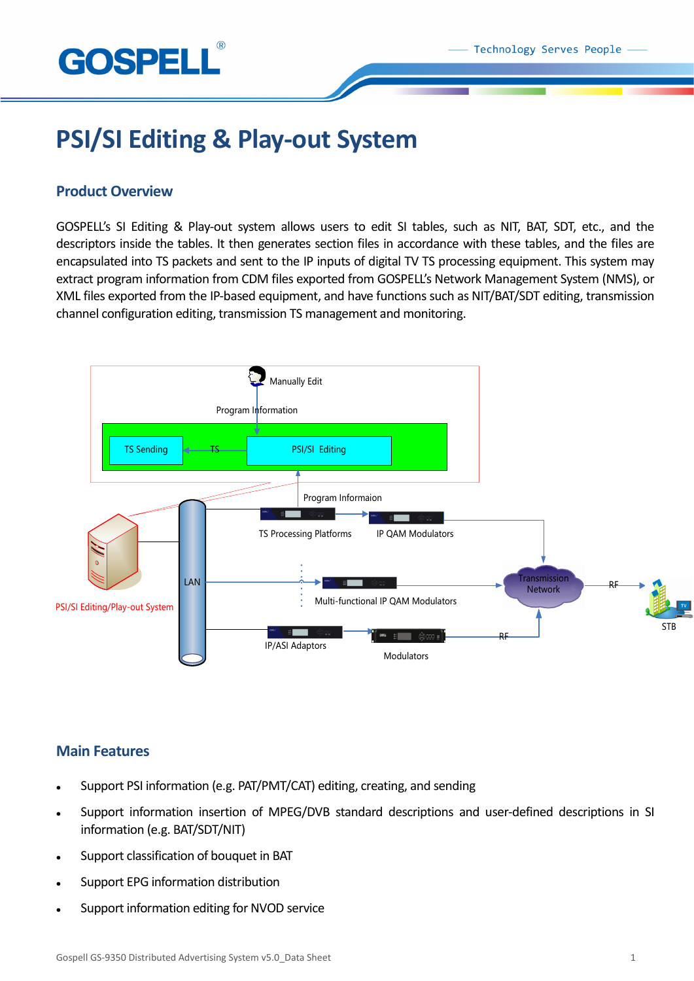



# **PSI/SI Editing & Play-out System**

## **Product Overview**

GOSPELL's SI Editing & Play-out system allows users to edit SI tables, such as NIT, BAT, SDT, etc., and the descriptors inside the tables. It then generates section files in accordance with these tables, and the files are encapsulated into TS packets and sent to the IP inputs of digital TV TS processing equipment. This system may extract program information from CDM files exported from GOSPELL's Network Management System (NMS), or XML files exported from the IP-based equipment, and have functions such as NIT/BAT/SDT editing, transmission channel configuration editing, transmission TS management and monitoring.



# **Main Features**

- Support PSI information (e.g. PAT/PMT/CAT) editing, creating, and sending
- Support information insertion of MPEG/DVB standard descriptions and user-defined descriptions in SI information (e.g. BAT/SDT/NIT)
- Support classification of bouquet in BAT
- Support EPG information distribution
- Support information editing for NVOD service